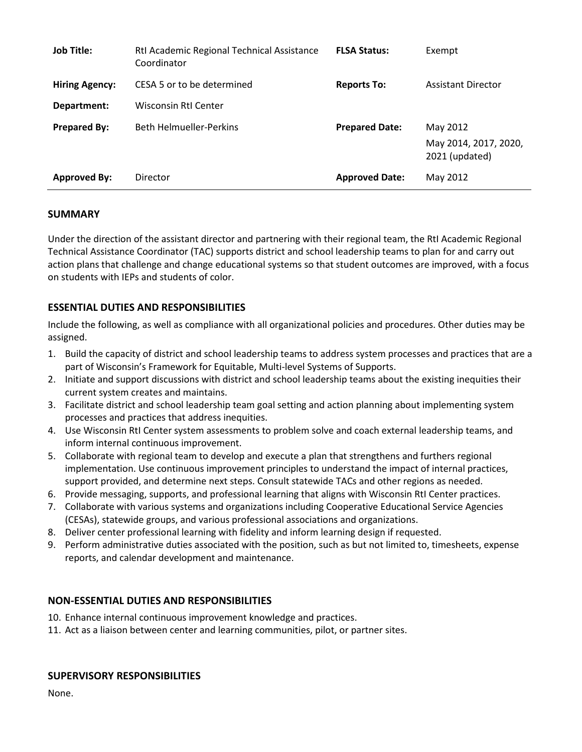| <b>Job Title:</b>     | Rtl Academic Regional Technical Assistance<br>Coordinator | <b>FLSA Status:</b>   | Exempt                                  |
|-----------------------|-----------------------------------------------------------|-----------------------|-----------------------------------------|
| <b>Hiring Agency:</b> | CESA 5 or to be determined                                | <b>Reports To:</b>    | <b>Assistant Director</b>               |
| Department:           | <b>Wisconsin RtI Center</b>                               |                       |                                         |
| <b>Prepared By:</b>   | <b>Beth Helmueller-Perkins</b>                            | <b>Prepared Date:</b> | May 2012                                |
|                       |                                                           |                       | May 2014, 2017, 2020,<br>2021 (updated) |
| <b>Approved By:</b>   | Director                                                  | <b>Approved Date:</b> | May 2012                                |

# **SUMMARY**

Under the direction of the assistant director and partnering with their regional team, the RtI Academic Regional Technical Assistance Coordinator (TAC) supports district and school leadership teams to plan for and carry out action plans that challenge and change educational systems so that student outcomes are improved, with a focus on students with IEPs and students of color.

# **ESSENTIAL DUTIES AND RESPONSIBILITIES**

Include the following, as well as compliance with all organizational policies and procedures. Other duties may be assigned.

- 1. Build the capacity of district and school leadership teams to address system processes and practices that are a part of Wisconsin's Framework for Equitable, Multi-level Systems of Supports.
- 2. Initiate and support discussions with district and school leadership teams about the existing inequities their current system creates and maintains.
- 3. Facilitate district and school leadership team goal setting and action planning about implementing system processes and practices that address inequities.
- 4. Use Wisconsin RtI Center system assessments to problem solve and coach external leadership teams, and inform internal continuous improvement.
- 5. Collaborate with regional team to develop and execute a plan that strengthens and furthers regional implementation. Use continuous improvement principles to understand the impact of internal practices, support provided, and determine next steps. Consult statewide TACs and other regions as needed.
- 6. Provide messaging, supports, and professional learning that aligns with Wisconsin RtI Center practices.
- 7. Collaborate with various systems and organizations including Cooperative Educational Service Agencies (CESAs), statewide groups, and various professional associations and organizations.
- 8. Deliver center professional learning with fidelity and inform learning design if requested.
- 9. Perform administrative duties associated with the position, such as but not limited to, timesheets, expense reports, and calendar development and maintenance.

# **NON-ESSENTIAL DUTIES AND RESPONSIBILITIES**

- 10. Enhance internal continuous improvement knowledge and practices.
- 11. Act as a liaison between center and learning communities, pilot, or partner sites.

### **SUPERVISORY RESPONSIBILITIES**

None.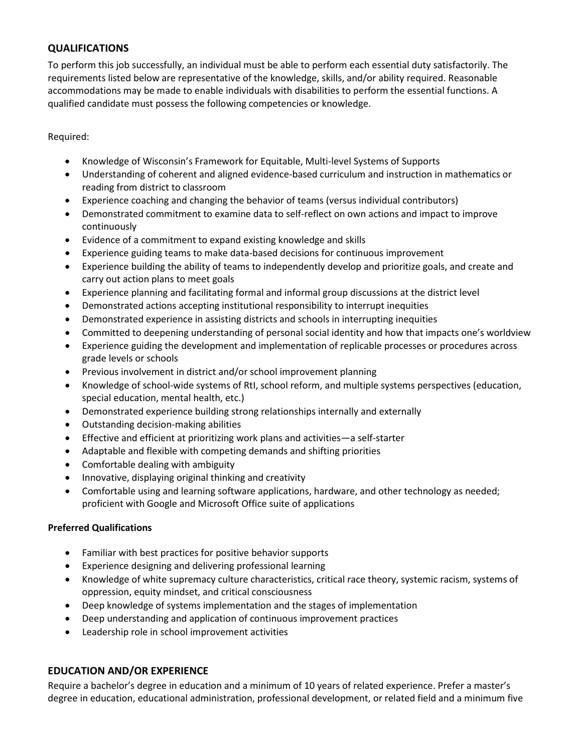# **QUALIFICATIONS**

To perform this job successfully, an individual must be able to perform each essential duty satisfactorily. The requirements listed below are representative of the knowledge, skills, and/or ability required. Reasonable accommodations may be made to enable individuals with disabilities to perform the essential functions. A qualified candidate must possess the following competencies or knowledge.

### Required:

- Knowledge of Wisconsin's Framework for Equitable, Multi-level Systems of Supports
- Understanding of coherent and aligned evidence-based curriculum and instruction in mathematics or reading from district to classroom
- Experience coaching and changing the behavior of teams (versus individual contributors)
- Demonstrated commitment to examine data to self-reflect on own actions and impact to improve continuously
- Evidence of a commitment to expand existing knowledge and skills
- Experience guiding teams to make data-based decisions for continuous improvement
- Experience building the ability of teams to independently develop and prioritize goals, and create and carry out action plans to meet goals
- Experience planning and facilitating formal and informal group discussions at the district level
- Demonstrated actions accepting institutional responsibility to interrupt inequities
- Demonstrated experience in assisting districts and schools in interrupting inequities
- Committed to deepening understanding of personal social identity and how that impacts one's worldview
- Experience guiding the development and implementation of replicable processes or procedures across grade levels or schools
- Previous involvement in district and/or school improvement planning
- Knowledge of school-wide systems of RtI, school reform, and multiple systems perspectives (education, special education, mental health, etc.)
- Demonstrated experience building strong relationships internally and externally
- Outstanding decision-making abilities
- Effective and efficient at prioritizing work plans and activities—a self-starter
- Adaptable and flexible with competing demands and shifting priorities
- Comfortable dealing with ambiguity
- Innovative, displaying original thinking and creativity
- Comfortable using and learning software applications, hardware, and other technology as needed; proficient with Google and Microsoft Office suite of applications

### **Preferred Qualifications**

- Familiar with best practices for positive behavior supports
- Experience designing and delivering professional learning
- Knowledge of white supremacy culture characteristics, critical race theory, systemic racism, systems of oppression, equity mindset, and critical consciousness
- Deep knowledge of systems implementation and the stages of implementation
- Deep understanding and application of continuous improvement practices
- Leadership role in school improvement activities

# **EDUCATION AND/OR EXPERIENCE**

Require a bachelor's degree in education and a minimum of 10 years of related experience. Prefer a master's degree in education, educational administration, professional development, or related field and a minimum five